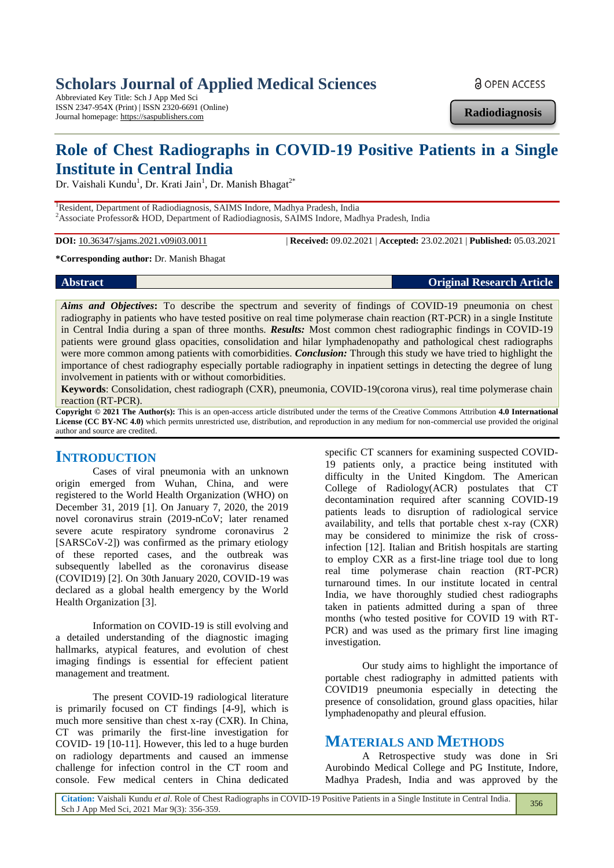# **Scholars Journal of Applied Medical Sciences**

Abbreviated Key Title: Sch J App Med Sci ISSN 2347-954X (Print) | ISSN 2320-6691 (Online) Journal homepage: https://saspublishers.com

**a** OPEN ACCESS

**Radiodiagnosis**

# **Role of Chest Radiographs in COVID-19 Positive Patients in a Single Institute in Central India**

Dr. Vaishali Kundu<sup>1</sup>, Dr. Krati Jain<sup>1</sup>, Dr. Manish Bhagat<sup>2\*</sup>

<sup>1</sup>Resident, Department of Radiodiagnosis, SAIMS Indore, Madhya Pradesh, India <sup>2</sup>Associate Professor& HOD, Department of Radiodiagnosis, SAIMS Indore, Madhya Pradesh, India

**DOI:** 10.36347/sjams.2021.v09i03.0011 | **Received:** 09.02.2021 | **Accepted:** 23.02.2021 | **Published:** 05.03.2021

#### **\*Corresponding author:** Dr. Manish Bhagat

**Abstract Original Research Article** 

Aims and Objectives: To describe the spectrum and severity of findings of COVID-19 pneumonia on chest radiography in patients who have tested positive on real time polymerase chain reaction (RT-PCR) in a single Institute in Central India during a span of three months. *Results:* Most common chest radiographic findings in COVID-19 patients were ground glass opacities, consolidation and hilar lymphadenopathy and pathological chest radiographs were more common among patients with comorbidities. *Conclusion:* Through this study we have tried to highlight the importance of chest radiography especially portable radiography in inpatient settings in detecting the degree of lung involvement in patients with or without comorbidities.

**Keywords**: Consolidation, chest radiograph (CXR), pneumonia, COVID-19(corona virus), real time polymerase chain reaction (RT-PCR).

**Copyright © 2021 The Author(s):** This is an open-access article distributed under the terms of the Creative Commons Attribution **4.0 International License (CC BY-NC 4.0)** which permits unrestricted use, distribution, and reproduction in any medium for non-commercial use provided the original author and source are credited.

### **INTRODUCTION**

Cases of viral pneumonia with an unknown origin emerged from Wuhan, China, and were registered to the World Health Organization (WHO) on December 31, 2019 [1]. On January 7, 2020, the 2019 novel coronavirus strain (2019-nCoV; later renamed severe acute respiratory syndrome coronavirus 2 [SARSCoV-2]) was confirmed as the primary etiology of these reported cases, and the outbreak was subsequently labelled as the coronavirus disease (COVID19) [2]. On 30th January 2020, COVID-19 was declared as a global health emergency by the World Health Organization [3].

Information on COVID-19 is still evolving and a detailed understanding of the diagnostic imaging hallmarks, atypical features, and evolution of chest imaging findings is essential for effecient patient management and treatment.

The present COVID-19 radiological literature is primarily focused on CT findings [4-9], which is much more sensitive than chest x-ray (CXR). In China, CT was primarily the first-line investigation for COVID- 19 [10-11]. However, this led to a huge burden on radiology departments and caused an immense challenge for infection control in the CT room and console. Few medical centers in China dedicated

specific CT scanners for examining suspected COVID-19 patients only, a practice being instituted with difficulty in the United Kingdom. The American College of Radiology(ACR) postulates that CT decontamination required after scanning COVID-19 patients leads to disruption of radiological service availability, and tells that portable chest x-ray (CXR) may be considered to minimize the risk of crossinfection [12]. Italian and British hospitals are starting to employ CXR as a first-line triage tool due to long real time polymerase chain reaction (RT-PCR) turnaround times. In our institute located in central India, we have thoroughly studied chest radiographs taken in patients admitted during a span of three months (who tested positive for COVID 19 with RT-PCR) and was used as the primary first line imaging investigation.

Our study aims to highlight the importance of portable chest radiography in admitted patients with COVID19 pneumonia especially in detecting the presence of consolidation, ground glass opacities, hilar lymphadenopathy and pleural effusion.

### **MATERIALS AND METHODS**

A Retrospective study was done in Sri Aurobindo Medical College and PG Institute, Indore, Madhya Pradesh, India and was approved by the

**Citation:** Vaishali Kundu *et al*. Role of Chest Radiographs in COVID-19 Positive Patients in a Single Institute in Central India. Sch J App Med Sci, 2021 Mar 9(3): 356-359.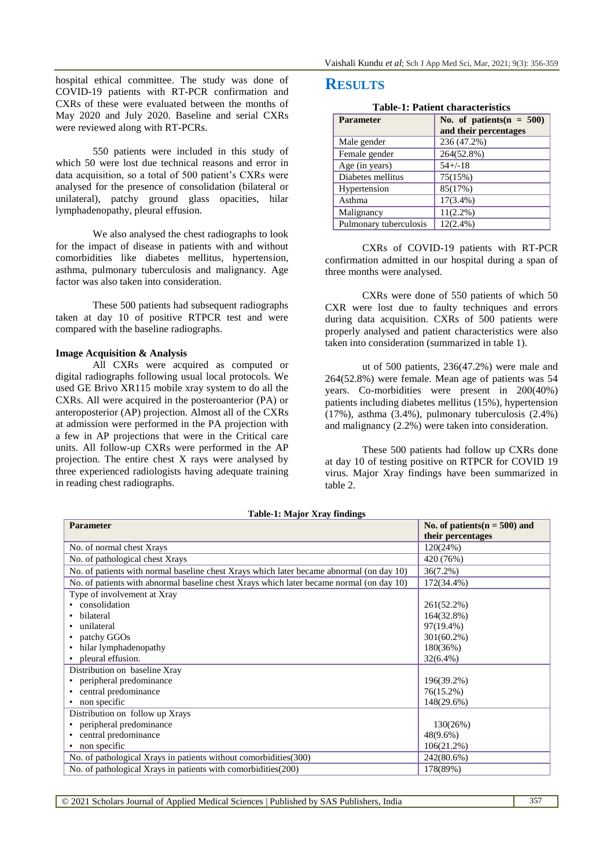hospital ethical committee. The study was done of COVID-19 patients with RT-PCR confirmation and CXRs of these were evaluated between the months of May 2020 and July 2020. Baseline and serial CXRs were reviewed along with RT-PCRs.

550 patients were included in this study of which 50 were lost due technical reasons and error in data acquisition, so a total of 500 patient's CXRs were analysed for the presence of consolidation (bilateral or unilateral), patchy ground glass opacities, hilar lymphadenopathy, pleural effusion.

We also analysed the chest radiographs to look for the impact of disease in patients with and without comorbidities like diabetes mellitus, hypertension, asthma, pulmonary tuberculosis and malignancy. Age factor was also taken into consideration.

These 500 patients had subsequent radiographs taken at day 10 of positive RTPCR test and were compared with the baseline radiographs.

#### **Image Acquisition & Analysis**

All CXRs were acquired as computed or digital radiographs following usual local protocols. We used GE Brivo XR115 mobile xray system to do all the CXRs. All were acquired in the posteroanterior (PA) or anteroposterior (AP) projection. Almost all of the CXRs at admission were performed in the PA projection with a few in AP projections that were in the Critical care units. All follow-up CXRs were performed in the AP projection. The entire chest X rays were analysed by three experienced radiologists having adequate training in reading chest radiographs.

# **RESULTS**

|  |  | <b>Table-1: Patient characteristics</b> |
|--|--|-----------------------------------------|
|--|--|-----------------------------------------|

| <b>Parameter</b>       | No. of patients( $n = 500$ )<br>and their percentages |
|------------------------|-------------------------------------------------------|
| Male gender            | 236 (47.2%)                                           |
| Female gender          | 264(52.8%)                                            |
| Age (in years)         | $54 + (-18)$                                          |
| Diabetes mellitus      | 75(15%)                                               |
| Hypertension           | 85(17%)                                               |
| Asthma                 | $17(3.4\%)$                                           |
| Malignancy             | $11(2.2\%)$                                           |
| Pulmonary tuberculosis | $12(2.4\%)$                                           |

CXRs of COVID-19 patients with RT-PCR confirmation admitted in our hospital during a span of three months were analysed.

CXRs were done of 550 patients of which 50 CXR were lost due to faulty techniques and errors during data acquisition. CXRs of 500 patients were properly analysed and patient characteristics were also taken into consideration (summarized in table 1).

ut of 500 patients, 236(47.2%) were male and 264(52.8%) were female. Mean age of patients was 54 years. Co-morbidities were present in 200(40%) patients including diabetes mellitus (15%), hypertension (17%), asthma (3.4%), pulmonary tuberculosis (2.4%) and malignancy (2.2%) were taken into consideration.

These 500 patients had follow up CXRs done at day 10 of testing positive on RTPCR for COVID 19 virus. Major Xray findings have been summarized in table 2.

| Table-1; Major Aray Hildings<br><b>Parameter</b>                                         | No. of patients $(n = 500)$ and |
|------------------------------------------------------------------------------------------|---------------------------------|
|                                                                                          | their percentages               |
| No. of normal chest Xrays                                                                | 120(24%)                        |
| No. of pathological chest Xrays                                                          | 420 (76%)                       |
| No. of patients with normal baseline chest Xrays which later became abnormal (on day 10) | $36(7.2\%)$                     |
| No. of patients with abnormal baseline chest Xrays which later became normal (on day 10) | 172(34.4%)                      |
| Type of involvement at Xray                                                              |                                 |
| consolidation                                                                            | 261(52.2%)                      |
| bilateral                                                                                | 164(32.8%)                      |
| unilateral                                                                               | 97(19.4%)                       |
| patchy GGOs                                                                              | $301(60.2\%)$                   |
| hilar lymphadenopathy                                                                    | 180(36%)                        |
| pleural effusion.                                                                        | $32(6.4\%)$                     |
| Distribution on baseline Xray                                                            |                                 |
| peripheral predominance                                                                  | 196(39.2%)                      |
| central predominance                                                                     | 76(15.2%)                       |
| non specific                                                                             | 148(29.6%)                      |
| Distribution on follow up Xrays                                                          |                                 |
| peripheral predominance                                                                  | 130(26%)                        |
| central predominance                                                                     | $48(9.6\%)$                     |
| non specific                                                                             | 106(21.2%)                      |
| No. of pathological Xrays in patients without comorbidities(300)                         | 242(80.6%)                      |
| No. of pathological Xrays in patients with comorbidities (200)                           | 178(89%)                        |

**Table-1: Major Xray findings**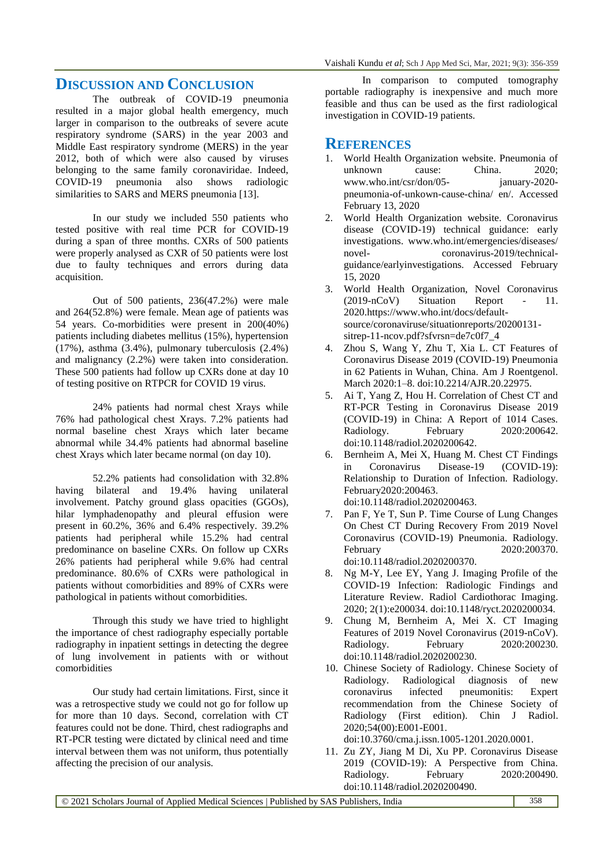## **DISCUSSION AND CONCLUSION**

The outbreak of COVID-19 pneumonia resulted in a major global health emergency, much larger in comparison to the outbreaks of severe acute respiratory syndrome (SARS) in the year 2003 and Middle East respiratory syndrome (MERS) in the year 2012, both of which were also caused by viruses belonging to the same family coronaviridae. Indeed, COVID-19 pneumonia also shows radiologic similarities to SARS and MERS pneumonia [13].

In our study we included 550 patients who tested positive with real time PCR for COVID-19 during a span of three months. CXRs of 500 patients were properly analysed as CXR of 50 patients were lost due to faulty techniques and errors during data acquisition.

Out of 500 patients, 236(47.2%) were male and 264(52.8%) were female. Mean age of patients was 54 years. Co-morbidities were present in 200(40%) patients including diabetes mellitus (15%), hypertension (17%), asthma (3.4%), pulmonary tuberculosis (2.4%) and malignancy (2.2%) were taken into consideration. These 500 patients had follow up CXRs done at day 10 of testing positive on RTPCR for COVID 19 virus.

24% patients had normal chest Xrays while 76% had pathological chest Xrays. 7.2% patients had normal baseline chest Xrays which later became abnormal while 34.4% patients had abnormal baseline chest Xrays which later became normal (on day 10).

52.2% patients had consolidation with 32.8% having bilateral and 19.4% having unilateral involvement. Patchy ground glass opacities (GGOs), hilar lymphadenopathy and pleural effusion were present in 60.2%, 36% and 6.4% respectively. 39.2% patients had peripheral while 15.2% had central predominance on baseline CXRs. On follow up CXRs 26% patients had peripheral while 9.6% had central predominance. 80.6% of CXRs were pathological in patients without comorbidities and 89% of CXRs were pathological in patients without comorbidities.

Through this study we have tried to highlight the importance of chest radiography especially portable radiography in inpatient settings in detecting the degree of lung involvement in patients with or without comorbidities

Our study had certain limitations. First, since it was a retrospective study we could not go for follow up for more than 10 days. Second, correlation with CT features could not be done. Third, chest radiographs and RT-PCR testing were dictated by clinical need and time interval between them was not uniform, thus potentially affecting the precision of our analysis.

In comparison to computed tomography portable radiography is inexpensive and much more feasible and thus can be used as the first radiological investigation in COVID-19 patients.

#### **REFERENCES**

- 1. World Health Organization website. Pneumonia of unknown cause: China. 2020; www.who.int/csr/don/05- january-2020 pneumonia-of-unkown-cause-china/ en/. Accessed February 13, 2020
- 2. World Health Organization website. Coronavirus disease (COVID-19) technical guidance: early investigations. www.who.int/emergencies/diseases/ novel- coronavirus-2019/technicalguidance/earlyinvestigations. Accessed February 15, 2020
- 3. World Health Organization, Novel Coronavirus (2019-nCoV) Situation Report - 11. 2020.https://www.who.int/docs/defaultsource/coronaviruse/situationreports/20200131 sitrep-11-ncov.pdf?sfvrsn=de7c0f7\_4
- 4. Zhou S, Wang Y, Zhu T, Xia L. CT Features of Coronavirus Disease 2019 (COVID-19) Pneumonia in 62 Patients in Wuhan, China. Am J Roentgenol. March 2020:1–8. doi:10.2214/AJR.20.22975.
- 5. Ai T, Yang Z, Hou H. Correlation of Chest CT and RT-PCR Testing in Coronavirus Disease 2019 (COVID-19) in China: A Report of 1014 Cases. Radiology. February 2020:200642. doi:10.1148/radiol.2020200642.
- 6. Bernheim A, Mei X, Huang M. Chest CT Findings in Coronavirus Disease-19 (COVID-19): Relationship to Duration of Infection. Radiology. February2020:200463. doi:10.1148/radiol.2020200463.
- 7. Pan F, Ye T, Sun P. Time Course of Lung Changes On Chest CT During Recovery From 2019 Novel Coronavirus (COVID-19) Pneumonia. Radiology. February 2020:200370. doi:10.1148/radiol.2020200370.
- 8. Ng M-Y, Lee EY, Yang J. Imaging Profile of the COVID-19 Infection: Radiologic Findings and Literature Review. Radiol Cardiothorac Imaging. 2020; 2(1):e200034. doi:10.1148/ryct.2020200034.
- 9. Chung M, Bernheim A, Mei X. CT Imaging Features of 2019 Novel Coronavirus (2019-nCoV). Radiology. February 2020:200230. doi:10.1148/radiol.2020200230.
- 10. Chinese Society of Radiology. Chinese Society of Radiology. Radiological diagnosis of new coronavirus infected pneumonitis: Expert recommendation from the Chinese Society of Radiology (First edition). Chin J Radiol. 2020;54(00):E001-E001.
	- doi:10.3760/cma.j.issn.1005-1201.2020.0001.
- 11. Zu ZY, Jiang M Di, Xu PP. Coronavirus Disease 2019 (COVID-19): A Perspective from China. Radiology. February 2020:200490. doi:10.1148/radiol.2020200490.

© 2021 Scholars Journal of Applied Medical Sciences | Published by SAS Publishers, India 358